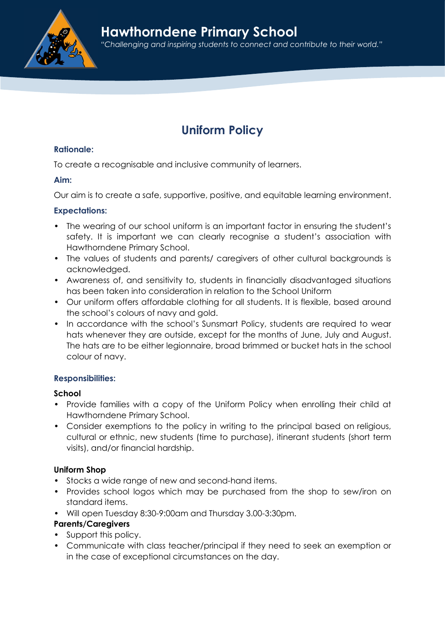

# Uniform Policy

## Rationale:

To create a recognisable and inclusive community of learners.

#### Aim:

Our aim is to create a safe, supportive, positive, and equitable learning environment.

#### Expectations:

- The wearing of our school uniform is an important factor in ensuring the student's safety. It is important we can clearly recognise a student's association with Hawthorndene Primary School.
- The values of students and parents/ caregivers of other cultural backgrounds is acknowledged.
- Awareness of, and sensitivity to, students in financially disadvantaged situations has been taken into consideration in relation to the School Uniform
- Our uniform offers affordable clothing for all students. It is flexible, based around the school's colours of navy and gold.
- In accordance with the school's Sunsmart Policy, students are required to wear hats whenever they are outside, except for the months of June, July and August. The hats are to be either legionnaire, broad brimmed or bucket hats in the school colour of navy.

#### Responsibilities:

#### School

- Provide families with a copy of the Uniform Policy when enrolling their child at Hawthorndene Primary School.
- Consider exemptions to the policy in writing to the principal based on religious, cultural or ethnic, new students (time to purchase), itinerant students (short term visits), and/or financial hardship.

#### Uniform Shop

- Stocks a wide range of new and second-hand items.
- Provides school logos which may be purchased from the shop to sew/iron on standard items.
- Will open Tuesday 8:30-9:00am and Thursday 3.00-3:30pm.

# Parents/Caregivers

- Support this policy.
- Communicate with class teacher/principal if they need to seek an exemption or in the case of exceptional circumstances on the day.